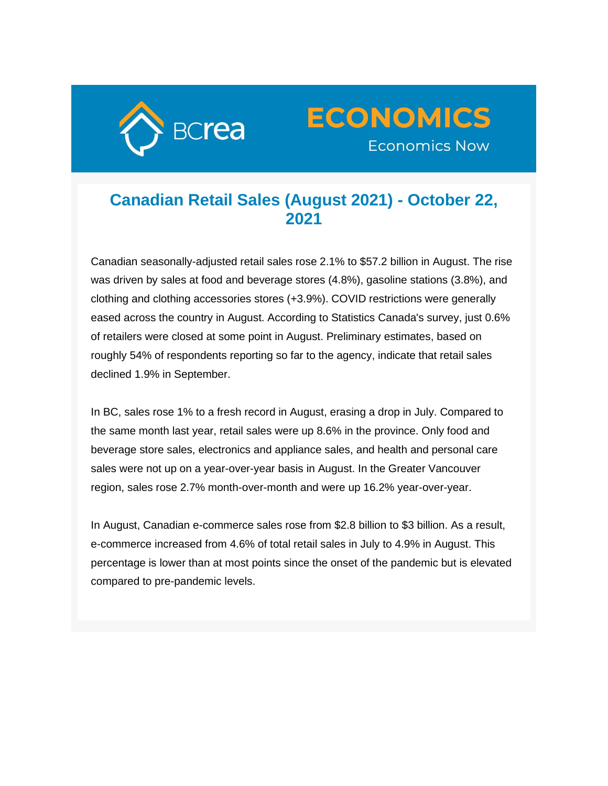



## **Canadian Retail Sales (August 2021) - October 22, 2021**

Canadian seasonally-adjusted retail sales rose 2.1% to \$57.2 billion in August. The rise was driven by sales at food and beverage stores (4.8%), gasoline stations (3.8%), and clothing and clothing accessories stores (+3.9%). COVID restrictions were generally eased across the country in August. According to Statistics Canada's survey, just 0.6% of retailers were closed at some point in August. Preliminary estimates, based on roughly 54% of respondents reporting so far to the agency, indicate that retail sales declined 1.9% in September.

In BC, sales rose 1% to a fresh record in August, erasing a drop in July. Compared to the same month last year, retail sales were up 8.6% in the province. Only food and beverage store sales, electronics and appliance sales, and health and personal care sales were not up on a year-over-year basis in August. In the Greater Vancouver region, sales rose 2.7% month-over-month and were up 16.2% year-over-year.

In August, Canadian e-commerce sales rose from \$2.8 billion to \$3 billion. As a result, e-commerce increased from 4.6% of total retail sales in July to 4.9% in August. This percentage is lower than at most points since the onset of the pandemic but is elevated compared to pre-pandemic levels.